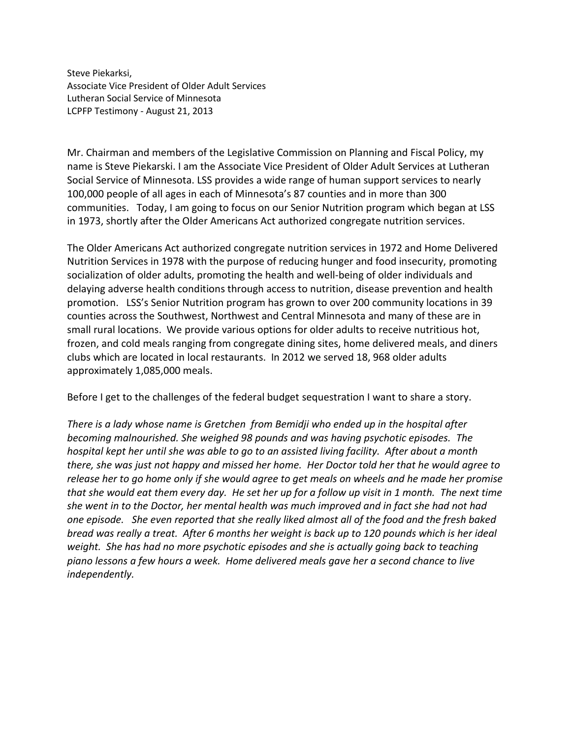Steve Piekarksi, Associate Vice President of Older Adult Services Lutheran Social Service of Minnesota LCPFP Testimony - August 21, 2013

Mr. Chairman and members of the Legislative Commission on Planning and Fiscal Policy, my name is Steve Piekarski. I am the Associate Vice President of Older Adult Services at Lutheran Social Service of Minnesota. LSS provides a wide range of human support services to nearly 100,000 people of all ages in each of Minnesota's 87 counties and in more than 300 communities. Today, I am going to focus on our Senior Nutrition program which began at LSS in 1973, shortly after the Older Americans Act authorized congregate nutrition services.

The Older Americans Act authorized congregate nutrition services in 1972 and Home Delivered Nutrition Services in 1978 with the purpose of reducing hunger and food insecurity, promoting socialization of older adults, promoting the health and well-being of older individuals and delaying adverse health conditions through access to nutrition, disease prevention and health promotion. LSS's Senior Nutrition program has grown to over 200 community locations in 39 counties across the Southwest, Northwest and Central Minnesota and many of these are in small rural locations. We provide various options for older adults to receive nutritious hot, frozen, and cold meals ranging from congregate dining sites, home delivered meals, and diners clubs which are located in local restaurants. In 2012 we served 18, 968 older adults approximately 1,085,000 meals.

Before I get to the challenges of the federal budget sequestration I want to share a story.

*There is a lady whose name is Gretchen from Bemidji who ended up in the hospital after becoming malnourished. She weighed 98 pounds and was having psychotic episodes. The hospital kept her until she was able to go to an assisted living facility. After about a month there, she was just not happy and missed her home. Her Doctor told her that he would agree to release her to go home only if she would agree to get meals on wheels and he made her promise that she would eat them every day. He set her up for a follow up visit in 1 month. The next time she went in to the Doctor, her mental health was much improved and in fact she had not had one episode. She even reported that she really liked almost all of the food and the fresh baked bread was really a treat. After 6 months her weight is back up to 120 pounds which is her ideal weight. She has had no more psychotic episodes and she is actually going back to teaching piano lessons a few hours a week. Home delivered meals gave her a second chance to live independently.*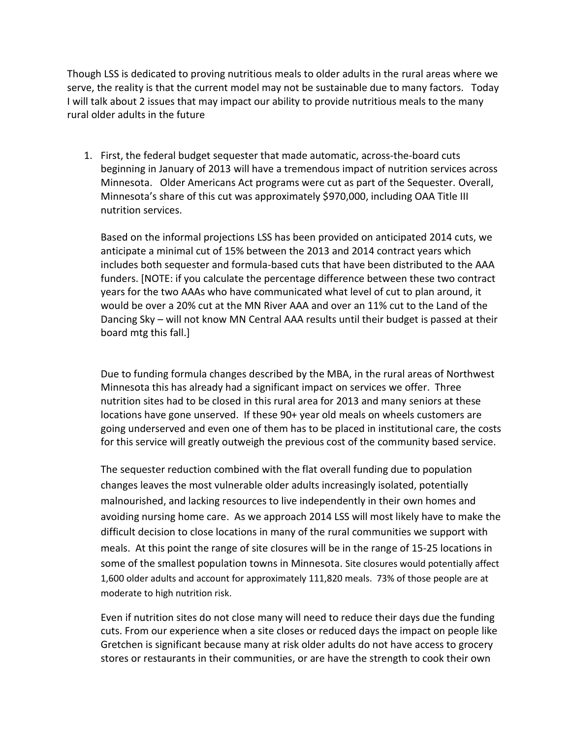Though LSS is dedicated to proving nutritious meals to older adults in the rural areas where we serve, the reality is that the current model may not be sustainable due to many factors. Today I will talk about 2 issues that may impact our ability to provide nutritious meals to the many rural older adults in the future

1. First, the federal budget sequester that made automatic, across-the-board cuts beginning in January of 2013 will have a tremendous impact of nutrition services across Minnesota. Older Americans Act programs were cut as part of the Sequester. Overall, Minnesota's share of this cut was approximately \$970,000, including OAA Title III nutrition services.

Based on the informal projections LSS has been provided on anticipated 2014 cuts, we anticipate a minimal cut of 15% between the 2013 and 2014 contract years which includes both sequester and formula-based cuts that have been distributed to the AAA funders. [NOTE: if you calculate the percentage difference between these two contract years for the two AAAs who have communicated what level of cut to plan around, it would be over a 20% cut at the MN River AAA and over an 11% cut to the Land of the Dancing Sky – will not know MN Central AAA results until their budget is passed at their board mtg this fall.]

Due to funding formula changes described by the MBA, in the rural areas of Northwest Minnesota this has already had a significant impact on services we offer. Three nutrition sites had to be closed in this rural area for 2013 and many seniors at these locations have gone unserved. If these 90+ year old meals on wheels customers are going underserved and even one of them has to be placed in institutional care, the costs for this service will greatly outweigh the previous cost of the community based service.

The sequester reduction combined with the flat overall funding due to population changes leaves the most vulnerable older adults increasingly isolated, potentially malnourished, and lacking resources to live independently in their own homes and avoiding nursing home care. As we approach 2014 LSS will most likely have to make the difficult decision to close locations in many of the rural communities we support with meals. At this point the range of site closures will be in the range of 15-25 locations in some of the smallest population towns in Minnesota. Site closures would potentially affect 1,600 older adults and account for approximately 111,820 meals. 73% of those people are at moderate to high nutrition risk.

Even if nutrition sites do not close many will need to reduce their days due the funding cuts. From our experience when a site closes or reduced days the impact on people like Gretchen is significant because many at risk older adults do not have access to grocery stores or restaurants in their communities, or are have the strength to cook their own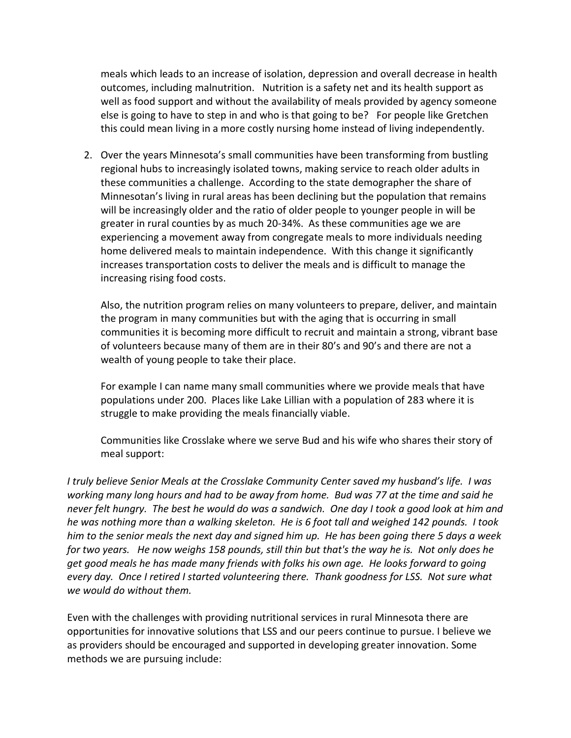meals which leads to an increase of isolation, depression and overall decrease in health outcomes, including malnutrition. Nutrition is a safety net and its health support as well as food support and without the availability of meals provided by agency someone else is going to have to step in and who is that going to be? For people like Gretchen this could mean living in a more costly nursing home instead of living independently.

2. Over the years Minnesota's small communities have been transforming from bustling regional hubs to increasingly isolated towns, making service to reach older adults in these communities a challenge. According to the state demographer the share of Minnesotan's living in rural areas has been declining but the population that remains will be increasingly older and the ratio of older people to younger people in will be greater in rural counties by as much 20-34%. As these communities age we are experiencing a movement away from congregate meals to more individuals needing home delivered meals to maintain independence. With this change it significantly increases transportation costs to deliver the meals and is difficult to manage the increasing rising food costs.

Also, the nutrition program relies on many volunteers to prepare, deliver, and maintain the program in many communities but with the aging that is occurring in small communities it is becoming more difficult to recruit and maintain a strong, vibrant base of volunteers because many of them are in their 80's and 90's and there are not a wealth of young people to take their place.

For example I can name many small communities where we provide meals that have populations under 200. Places like Lake Lillian with a population of 283 where it is struggle to make providing the meals financially viable.

Communities like Crosslake where we serve Bud and his wife who shares their story of meal support:

*I truly believe Senior Meals at the Crosslake Community Center saved my husband's life. I was working many long hours and had to be away from home. Bud was 77 at the time and said he never felt hungry. The best he would do was a sandwich. One day I took a good look at him and he was nothing more than a walking skeleton. He is 6 foot tall and weighed 142 pounds. I took him to the senior meals the next day and signed him up. He has been going there 5 days a week for two years. He now weighs 158 pounds, still thin but that's the way he is. Not only does he get good meals he has made many friends with folks his own age. He looks forward to going every day. Once I retired I started volunteering there. Thank goodness for LSS. Not sure what we would do without them.*

Even with the challenges with providing nutritional services in rural Minnesota there are opportunities for innovative solutions that LSS and our peers continue to pursue. I believe we as providers should be encouraged and supported in developing greater innovation. Some methods we are pursuing include: